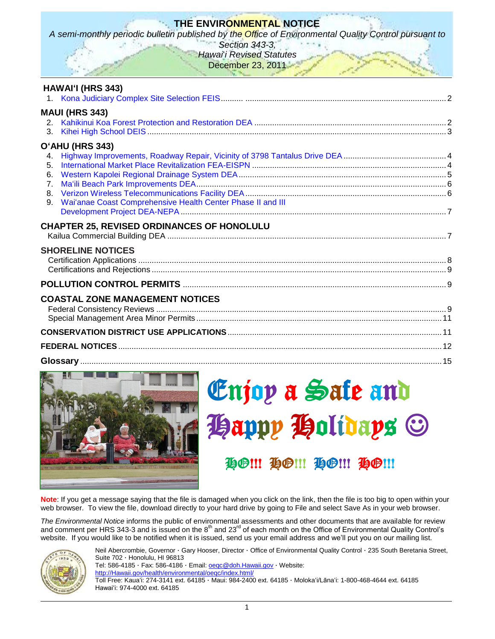## **THE ENVIRONMENTAL NOTICE**

*A semi-monthly periodic bulletin published by the Office of Environmental Quality Control pursuant to* 

*Section 343-3, Hawai*'*i Revised Statutes* December 23, 2011

| <b>HAWAI'I (HRS 343)</b>                                                                                                       |  |
|--------------------------------------------------------------------------------------------------------------------------------|--|
| <b>MAUI (HRS 343)</b><br>3.                                                                                                    |  |
|                                                                                                                                |  |
| O'AHU (HRS 343)<br>4.<br>5.<br>6.<br>7 <sub>1</sub><br>8.<br>Wai'anae Coast Comprehensive Health Center Phase II and III<br>9. |  |
| <b>CHAPTER 25, REVISED ORDINANCES OF HONOLULU</b>                                                                              |  |
|                                                                                                                                |  |
| <b>SHORELINE NOTICES</b>                                                                                                       |  |
|                                                                                                                                |  |
| <b>COASTAL ZONE MANAGEMENT NOTICES</b>                                                                                         |  |
|                                                                                                                                |  |
|                                                                                                                                |  |
|                                                                                                                                |  |



# Enjoy a Safe and **Happy Holidays ©**

# **HO!!! HO!!! HO!!! HO!!!**

**Note**: If you get a message saying that the file is damaged when you click on the link, then the file is too big to open within your web browser. To view the file, download directly to your hard drive by going to File and select Save As in your web browser.

*The Environmental Notice* informs the public of environmental assessments and other documents that are available for review and comment per HRS 343-3 and is issued on the  $8<sup>th</sup>$  and 23<sup>rd</sup> of each month on the Office of Environmental Quality Control's website. If you would like to be notified when it is issued, send us your email address and we'll put you on our mailing list.



Neil Abercrombie, Governor · Gary Hooser, Director · Office of Environmental Quality Control · 235 South Beretania Street, Suite 702 · Honolulu, HI 96813

Tel: 586-4185 · Fax: 586-4186 · Email: oegc@doh.Hawaii.gov · Website:

[http://Hawaii.gov/health/environmental/oeqc/index.html/](http://hawaii.gov/health/environmental/oeqc/index.html/)

Toll Free: Kauaʻi: 274-3141 ext. 64185 · Maui: 984-2400 ext. 64185 · Molokaʻi/Lānaʻi: 1-800-468-4644 ext. 64185 Hawaiʻi: 974-4000 ext. 64185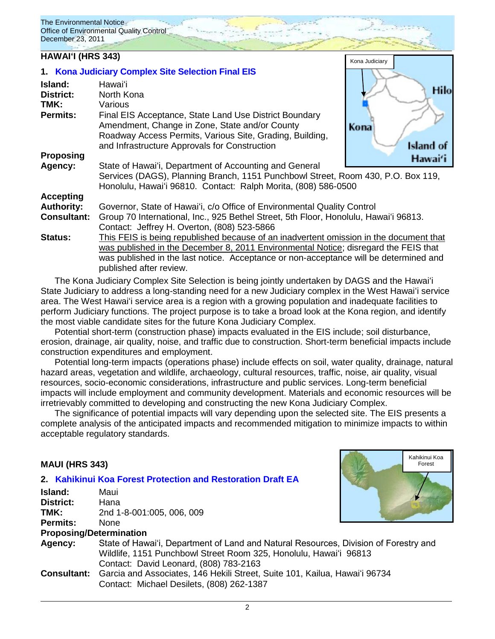## **HAWAIʻI (HRS 343) HAWAIʻI (HRS 343) HAWAIʻI (HRS 343)**

|                    | 1. Kona Judiciary Complex Site Selection Final EIS                                     |                  |
|--------------------|----------------------------------------------------------------------------------------|------------------|
| Island:            | Hawaiʻi                                                                                | Hilo             |
| <b>District:</b>   | North Kona                                                                             |                  |
| TMK:               | Various                                                                                |                  |
| <b>Permits:</b>    | Final EIS Acceptance, State Land Use District Boundary                                 |                  |
|                    | Amendment, Change in Zone, State and/or County                                         | Kona             |
|                    | Roadway Access Permits, Various Site, Grading, Building,                               |                  |
|                    | and Infrastructure Approvals for Construction                                          | <b>Island of</b> |
| <b>Proposing</b>   |                                                                                        | Hawai'i          |
| Agency:            | State of Hawai'i, Department of Accounting and General                                 |                  |
|                    | Services (DAGS), Planning Branch, 1151 Punchbowl Street, Room 430, P.O. Box 119,       |                  |
|                    | Honolulu, Hawai'i 96810. Contact: Ralph Morita, (808) 586-0500                         |                  |
| <b>Accepting</b>   |                                                                                        |                  |
| <b>Authority:</b>  | Governor, State of Hawai'i, c/o Office of Environmental Quality Control                |                  |
| <b>Consultant:</b> | Group 70 International, Inc., 925 Bethel Street, 5th Floor, Honolulu, Hawai'i 96813.   |                  |
|                    | Contact: Jeffrey H. Overton, (808) 523-5866                                            |                  |
| <b>Status:</b>     | This FEIS is being republished because of an inadvertent omission in the document that |                  |
|                    | was published in the December 8, 2011 Environmental Notice; disregard the FEIS that    |                  |
|                    | was published in the last notice. Acceptance or non-acceptance will be determined and  |                  |
|                    | published after review.                                                                |                  |

The Kona Judiciary Complex Site Selection is being jointly undertaken by DAGS and the Hawaiʻi State Judiciary to address a long-standing need for a new Judiciary complex in the West Hawaiʻi service area. The West Hawaiʻi service area is a region with a growing population and inadequate facilities to perform Judiciary functions. The project purpose is to take a broad look at the Kona region, and identify the most viable candidate sites for the future Kona Judiciary Complex.

Potential short-term (construction phase) impacts evaluated in the EIS include; soil disturbance, erosion, drainage, air quality, noise, and traffic due to construction. Short-term beneficial impacts include construction expenditures and employment.

Potential long-term impacts (operations phase) include effects on soil, water quality, drainage, natural hazard areas, vegetation and wildlife, archaeology, cultural resources, traffic, noise, air quality, visual resources, socio-economic considerations, infrastructure and public services. Long-term beneficial impacts will include employment and community development. Materials and economic resources will be irretrievably committed to developing and constructing the new Kona Judiciary Complex.

The significance of potential impacts will vary depending upon the selected site. The EIS presents a complete analysis of the anticipated impacts and recommended mitigation to minimize impacts to within acceptable regulatory standards.

> Kahikinui Koa Forest

## **MAUI (HRS 343)**

#### **2. [Kahikinui Koa Forest Protection and Restoration](http://oeqc.doh.hawaii.gov/Shared%20Documents/EA_and_EIS_Online_Library/Maui/2010s/2011-12-23-DEA-Kahikinui-Koa-Forest.pdf) Draft EA**

| Island:   | Maui                                                                                                                                                                                                |  |
|-----------|-----------------------------------------------------------------------------------------------------------------------------------------------------------------------------------------------------|--|
| District: | Hana                                                                                                                                                                                                |  |
| TMK:      | 2nd 1-8-001:005, 006, 009                                                                                                                                                                           |  |
| Permits:  | None.                                                                                                                                                                                               |  |
|           | <b>Proposing/Determination</b>                                                                                                                                                                      |  |
| Agency:   | State of Hawai'i, Department of Land and Natural Resources, Division of Forestry and<br>Wildlife, 1151 Punchbowl Street Room 325, Honolulu, Hawai'i 96813<br>Contact: David Leonard, (808) 783-2163 |  |
|           | <b>Consultant:</b> Garcia and Associates, 146 Hekili Street, Suite 101, Kailua, Hawai'i 96734                                                                                                       |  |
|           | Contact: Michael Desilets, (808) 262-1387                                                                                                                                                           |  |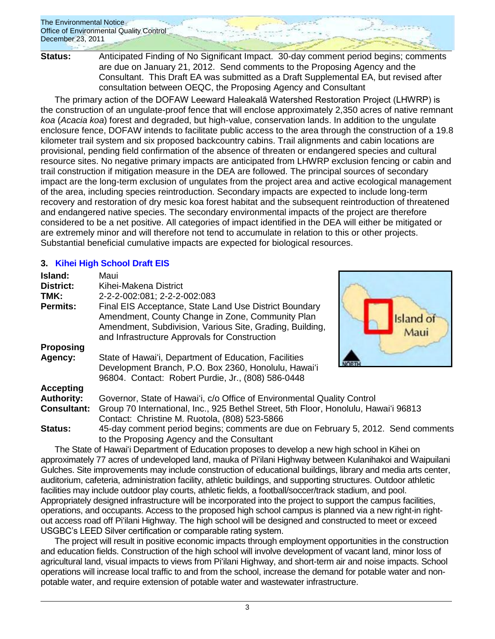**Status:** Anticipated Finding of No Significant Impact. 30-day comment period begins; comments are due on January 21, 2012. Send comments to the Proposing Agency and the Consultant. This Draft EA was submitted as a Draft Supplemental EA, but revised after consultation between OEQC, the Proposing Agency and Consultant

The primary action of the DOFAW Leeward Haleakalā Watershed Restoration Project (LHWRP) is the construction of an ungulate-proof fence that will enclose approximately 2,350 acres of native remnant *koa* (*Acacia koa*) forest and degraded, but high-value, conservation lands. In addition to the ungulate enclosure fence, DOFAW intends to facilitate public access to the area through the construction of a 19.8 kilometer trail system and six proposed backcountry cabins. Trail alignments and cabin locations are provisional, pending field confirmation of the absence of threaten or endangered species and cultural resource sites. No negative primary impacts are anticipated from LHWRP exclusion fencing or cabin and trail construction if mitigation measure in the DEA are followed. The principal sources of secondary impact are the long-term exclusion of ungulates from the project area and active ecological management of the area, including species reintroduction. Secondary impacts are expected to include long-term recovery and restoration of dry mesic koa forest habitat and the subsequent reintroduction of threatened and endangered native species. The secondary environmental impacts of the project are therefore considered to be a net positive. All categories of impact identified in the DEA will either be mitigated or are extremely minor and will therefore not tend to accumulate in relation to this or other projects. Substantial beneficial cumulative impacts are expected for biological resources.

## **3. [Kihei High School Draft EIS](http://oeqc.doh.hawaii.gov/Shared%20Documents/EA_and_EIS_Online_Library/Maui/2010s/2011-12-23-DEIS-Kihei-High-School.pdf)**

| Island:            | Maui                                                                                                                                                                                                                    |  |
|--------------------|-------------------------------------------------------------------------------------------------------------------------------------------------------------------------------------------------------------------------|--|
| <b>District:</b>   | Kihei-Makena District                                                                                                                                                                                                   |  |
| TMK:               | 2-2-2-002:081; 2-2-2-002:083                                                                                                                                                                                            |  |
| <b>Permits:</b>    | Final EIS Acceptance, State Land Use District Boundary<br>Amendment, County Change in Zone, Community Plan<br>Amendment, Subdivision, Various Site, Grading, Building,<br>and Infrastructure Approvals for Construction |  |
| Proposing          |                                                                                                                                                                                                                         |  |
| Agency:            | State of Hawai'i, Department of Education, Facilities<br>Development Branch, P.O. Box 2360, Honolulu, Hawai'i<br>96804. Contact: Robert Purdie, Jr., (808) 586-0448                                                     |  |
| <b>Accepting</b>   |                                                                                                                                                                                                                         |  |
| <b>Authority:</b>  | Governor, State of Hawai'i, c/o Office of Environmental Quality Control                                                                                                                                                 |  |
| <b>Consultant:</b> | Group 70 International, Inc., 925 Bethel Street, 5th Floor, Honolulu, Hawai'i 96813<br>Contact: Christine M. Ruotola, (808) 523-5866                                                                                    |  |
| <b>Status:</b>     | 45-day comment period begins; comments are due on February 5, 2012. Send comments<br>to the Proposing Agency and the Consultant                                                                                         |  |

The State of Hawaiʻi Department of Education proposes to develop a new high school in Kihei on approximately 77 acres of undeveloped land, mauka of Piʻilani Highway between Kulanihakoi and Waipuilani Gulches. Site improvements may include construction of educational buildings, library and media arts center, auditorium, cafeteria, administration facility, athletic buildings, and supporting structures. Outdoor athletic facilities may include outdoor play courts, athletic fields, a football/soccer/track stadium, and pool. Appropriately designed infrastructure will be incorporated into the project to support the campus facilities, operations, and occupants. Access to the proposed high school campus is planned via a new right-in rightout access road off Piʻilani Highway. The high school will be designed and constructed to meet or exceed USGBC's LEED Silver certification or comparable rating system.

The project will result in positive economic impacts through employment opportunities in the construction and education fields. Construction of the high school will involve development of vacant land, minor loss of agricultural land, visual impacts to views from Piʻilani Highway, and short-term air and noise impacts. School operations will increase local traffic to and from the school, increase the demand for potable water and nonpotable water, and require extension of potable water and wastewater infrastructure.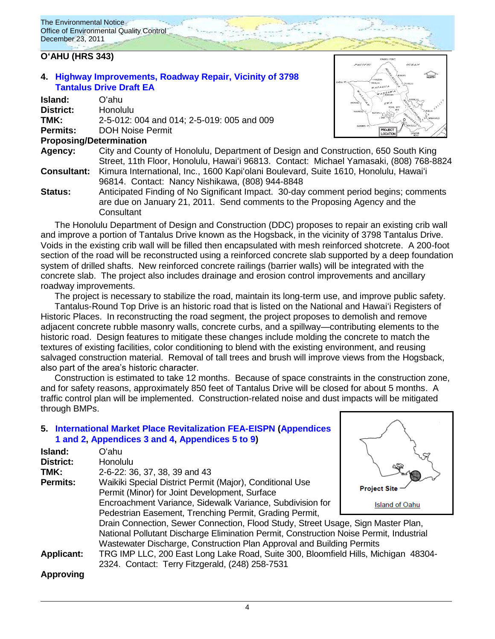## **OʻAHU (HRS 343)**

**4. [Highway Improvements, Roadway Repair, Vicinity of 3798](http://oeqc.doh.hawaii.gov/Shared%20Documents/EA_and_EIS_Online_Library/Oahu/2010s/2011-12-23-DEA-Tantalus-Drive-Improvements.pdf)  [Tantalus Drive](http://oeqc.doh.hawaii.gov/Shared%20Documents/EA_and_EIS_Online_Library/Oahu/2010s/2011-12-23-DEA-Tantalus-Drive-Improvements.pdf) Draft EA**

| Island:            | Oʻahu                                           |
|--------------------|-------------------------------------------------|
| District:          | Honolulu                                        |
| TMK:               | 2-5-012: 004 and 014; 2-5-019: 005 and 009      |
| <b>Permits:</b>    | <b>DOH Noise Permit</b>                         |
|                    | <b>Proposing/Determination</b>                  |
| Agency:            | City and County of Honolulu, Department of D    |
|                    | Street, 11th Floor, Honolulu, Hawai'i 96813. C  |
| <b>Consultant:</b> | Kimura International, Inc., 1600 Kapi'olani Bou |
|                    | 96814. Contact: Nancy Nishikawa, (808) 944      |
| <b>Status:</b>     | Anticipated Finding of No Significant Impact. : |



- esign and Construction, 650 South King Sontact: Michael Yamasaki, (808) 768-8824 Ilevard, Suite 1610, Honolulu, Hawaiʻi 96814. Contact: Nancy Nishikawa, (808) 944-8848 30-day comment period begins; comments
- are due on January 21, 2011. Send comments to the Proposing Agency and the **Consultant**

The Honolulu Department of Design and Construction (DDC) proposes to repair an existing crib wall and improve a portion of Tantalus Drive known as the Hogsback, in the vicinity of 3798 Tantalus Drive. Voids in the existing crib wall will be filled then encapsulated with mesh reinforced shotcrete. A 200-foot section of the road will be reconstructed using a reinforced concrete slab supported by a deep foundation system of drilled shafts. New reinforced concrete railings (barrier walls) will be integrated with the concrete slab. The project also includes drainage and erosion control improvements and ancillary roadway improvements.

The project is necessary to stabilize the road, maintain its long-term use, and improve public safety. Tantalus-Round Top Drive is an historic road that is listed on the National and Hawaiʻi Registers of Historic Places. In reconstructing the road segment, the project proposes to demolish and remove adjacent concrete rubble masonry walls, concrete curbs, and a spillway—contributing elements to the historic road. Design features to mitigate these changes include molding the concrete to match the textures of existing facilities, color conditioning to blend with the existing environment, and reusing salvaged construction material. Removal of tall trees and brush will improve views from the Hogsback, also part of the area's historic character.

Construction is estimated to take 12 months. Because of space constraints in the construction zone, and for safety reasons, approximately 850 feet of Tantalus Drive will be closed for about 5 months. A traffic control plan will be implemented. Construction-related noise and dust impacts will be mitigated through BMPs.

## **5. [International Market Place Revitalization FEA-EISPN](http://oeqc.doh.hawaii.gov/Shared%20Documents/EA_and_EIS_Online_Library/Oahu/2010s/2011-12-23-FEA-EISPN-International-Market-Place.pdf) [\(Appendices](http://oeqc.doh.hawaii.gov/Shared%20Documents/EA_and_EIS_Online_Library/Oahu/2010s/2011-12-23-FEA-EISPN-International-Market-Place-Appendices-1-and-2.pdf)  [1 and 2,](http://oeqc.doh.hawaii.gov/Shared%20Documents/EA_and_EIS_Online_Library/Oahu/2010s/2011-12-23-FEA-EISPN-International-Market-Place-Appendices-1-and-2.pdf) [Appendices 3](http://oeqc.doh.hawaii.gov/Shared%20Documents/EA_and_EIS_Online_Library/Oahu/2010s/2011-12-23-FEA-EISPN-International-Market-Place-Appendices-3-and-4.pdf) and 4, [Appendices 5 to 9\)](http://oeqc.doh.hawaii.gov/Shared%20Documents/EA_and_EIS_Online_Library/Oahu/2010s/2011-12-23-FEA-EISPN-International-Market-Place-Appendices-5-to-9.pdf)**

| Island:           | Oʻahu                                                                                                     |                       |
|-------------------|-----------------------------------------------------------------------------------------------------------|-----------------------|
| District:         | Honolulu                                                                                                  |                       |
| TMK:              | 2-6-22: 36, 37, 38, 39 and 43                                                                             |                       |
| <b>Permits:</b>   | Waikiki Special District Permit (Major), Conditional Use<br>Permit (Minor) for Joint Development, Surface | <b>Project Si</b>     |
|                   | Encroachment Variance, Sidewalk Variance, Subdivision for                                                 | <b>Island of Oahu</b> |
|                   | Pedestrian Easement, Trenching Permit, Grading Permit,                                                    |                       |
|                   | Drain Connection, Sewer Connection, Flood Study, Street Usage, Sign Master Plan,                          |                       |
|                   | National Pollutant Discharge Elimination Permit, Construction Noise Permit, Industrial                    |                       |
|                   | Wastewater Discharge, Construction Plan Approval and Building Permits                                     |                       |
| <b>Applicant:</b> | TRG IMP LLC, 200 East Long Lake Road, Suite 300, Bloomfield Hills, Michigan 48304-                        |                       |
|                   | 2324. Contact: Terry Fitzgerald, (248) 258-7531                                                           |                       |
| <b>Approving</b>  |                                                                                                           |                       |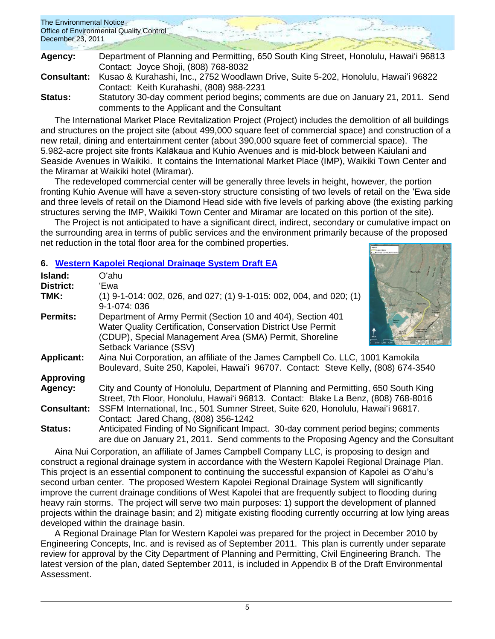| The Environmental Notice<br>Office of Environmental Quality Control |  |  |
|---------------------------------------------------------------------|--|--|
| December 23, 2011                                                   |  |  |

| Agency:            | Department of Planning and Permitting, 650 South King Street, Honolulu, Hawai'i 96813 |
|--------------------|---------------------------------------------------------------------------------------|
|                    | Contact: Joyce Shoji, (808) 768-8032                                                  |
| <b>Consultant:</b> | Kusao & Kurahashi, Inc., 2752 Woodlawn Drive, Suite 5-202, Honolulu, Hawai'i 96822    |
|                    | Contact: Keith Kurahashi, (808) 988-2231                                              |
| Status:            | Statutory 30-day comment period begins; comments are due on January 21, 2011. Send    |
|                    | comments to the Applicant and the Consultant                                          |

The International Market Place Revitalization Project (Project) includes the demolition of all buildings and structures on the project site (about 499,000 square feet of commercial space) and construction of a new retail, dining and entertainment center (about 390,000 square feet of commercial space). The 5.982-acre project site fronts Kalākaua and Kuhio Avenues and is mid-block between Kaiulani and Seaside Avenues in Waikiki. It contains the International Market Place (IMP), Waikiki Town Center and the Miramar at Waikiki hotel (Miramar).

The redeveloped commercial center will be generally three levels in height, however, the portion fronting Kuhio Avenue will have a seven-story structure consisting of two levels of retail on the ʻEwa side and three levels of retail on the Diamond Head side with five levels of parking above (the existing parking structures serving the IMP, Waikiki Town Center and Miramar are located on this portion of the site).

The Project is not anticipated to have a significant direct, indirect, secondary or cumulative impact on the surrounding area in terms of public services and the environment primarily because of the proposed net reduction in the total floor area for the combined properties.

## **6. [Western Kapolei Regional Drainage System](http://oeqc.doh.hawaii.gov/Shared%20Documents/EA_and_EIS_Online_Library/Oahu/2010s/2011-12-23-DEA-Western-Kapolei-Drainage-System.pdf) Draft EA**

| Island:<br><b>District:</b> | O'ahu<br>'Ewa                                                                                                                                                                                                     |  |
|-----------------------------|-------------------------------------------------------------------------------------------------------------------------------------------------------------------------------------------------------------------|--|
| TMK:                        | $(1)$ 9-1-014: 002, 026, and 027; (1) 9-1-015: 002, 004, and 020; (1)<br>9-1-074: 036                                                                                                                             |  |
| <b>Permits:</b>             | Department of Army Permit (Section 10 and 404), Section 401<br>Water Quality Certification, Conservation District Use Permit<br>(CDUP), Special Management Area (SMA) Permit, Shoreline<br>Setback Variance (SSV) |  |
| <b>Applicant:</b>           | Aina Nui Corporation, an affiliate of the James Campbell Co. LLC, 1001 Kamokila<br>Boulevard, Suite 250, Kapolei, Hawai'i 96707. Contact: Steve Kelly, (808) 674-3540                                             |  |
| <b>Approving</b>            |                                                                                                                                                                                                                   |  |
| Agency:                     | City and County of Honolulu, Department of Planning and Permitting, 650 South King<br>Street, 7th Floor, Honolulu, Hawai'i 96813. Contact: Blake La Benz, (808) 768-8016                                          |  |
| <b>Consultant:</b>          | SSFM International, Inc., 501 Sumner Street, Suite 620, Honolulu, Hawai'i 96817.<br>Contact: Jared Chang, (808) 356-1242                                                                                          |  |
| <b>Status:</b>              | Anticipated Finding of No Significant Impact. 30-day comment period begins; comments<br>are due on January 21, 2011. Send comments to the Proposing Agency and the Consultant                                     |  |

Aina Nui Corporation, an affiliate of James Campbell Company LLC, is proposing to design and construct a regional drainage system in accordance with the Western Kapolei Regional Drainage Plan. This project is an essential component to continuing the successful expansion of Kapolei as Oʻahu's second urban center. The proposed Western Kapolei Regional Drainage System will significantly improve the current drainage conditions of West Kapolei that are frequently subject to flooding during heavy rain storms. The project will serve two main purposes: 1) support the development of planned projects within the drainage basin; and 2) mitigate existing flooding currently occurring at low lying areas developed within the drainage basin.

A Regional Drainage Plan for Western Kapolei was prepared for the project in December 2010 by Engineering Concepts, Inc. and is revised as of September 2011. This plan is currently under separate review for approval by the City Department of Planning and Permitting, Civil Engineering Branch. The latest version of the plan, dated September 2011, is included in Appendix B of the Draft Environmental Assessment.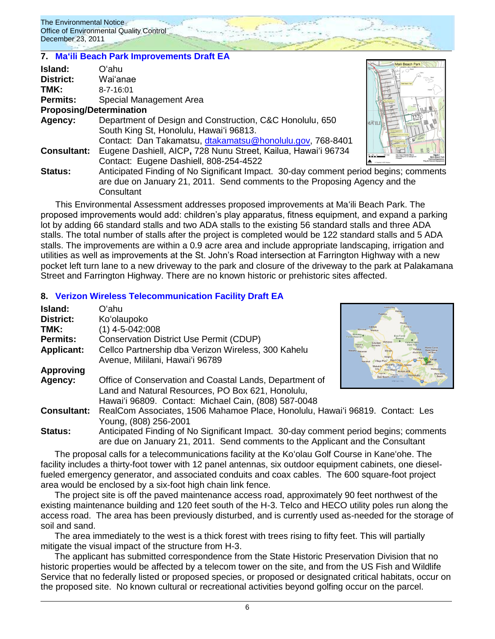#### **7. [Maʻili Beach Park Improvements Draft EA](http://oeqc.doh.hawaii.gov/Shared%20Documents/EA_and_EIS_Online_Library/Oahu/2010s/2011-12-23-DEA-Maili-Beach-Park-Parking-Lot.pdf)**

| Island:            | Oʻahu                                                                                |  |
|--------------------|--------------------------------------------------------------------------------------|--|
| District:          | Wai'anae                                                                             |  |
| TMK:               | $8 - 7 - 16:01$                                                                      |  |
| Permits:           | Special Management Area                                                              |  |
|                    | <b>Proposing/Determination</b>                                                       |  |
| <b>Agency:</b>     | Department of Design and Construction, C&C Honolulu, 650                             |  |
|                    | South King St, Honolulu, Hawai'i 96813.                                              |  |
|                    | Contact: Dan Takamatsu, dtakamatsu@honolulu.gov, 768-8401                            |  |
| <b>Consultant:</b> | Eugene Dashiell, AICP, 728 Nunu Street, Kailua, Hawai'i 96734                        |  |
|                    | Contact: Eugene Dashiell, 808-254-4522                                               |  |
| Status:            | Anticipated Finding of No Significant Impact. 30-day comment period begins; comments |  |
|                    | are due on January 21, 2011. Send comments to the Proposing Agency and the           |  |
|                    | Consultant                                                                           |  |

This Environmental Assessment addresses proposed improvements at Maʻili Beach Park. The proposed improvements would add: children's play apparatus, fitness equipment, and expand a parking lot by adding 66 standard stalls and two ADA stalls to the existing 56 standard stalls and three ADA stalls. The total number of stalls after the project is completed would be 122 standard stalls and 5 ADA stalls. The improvements are within a 0.9 acre area and include appropriate landscaping, irrigation and utilities as well as improvements at the St. John's Road intersection at Farrington Highway with a new pocket left turn lane to a new driveway to the park and closure of the driveway to the park at Palakamana Street and Farrington Highway. There are no known historic or prehistoric sites affected.

## **8. [Verizon Wireless Telecommunication Facility Draft EA](http://oeqc.doh.hawaii.gov/Shared%20Documents/EA_and_EIS_Online_Library/Oahu/2010s/2011-12-23-DEA-Verizon-Wireless-Facility.pdf)**

| Island:            | Oʻahu                                                                                                                                                                  | Kawela Bay                                  |
|--------------------|------------------------------------------------------------------------------------------------------------------------------------------------------------------------|---------------------------------------------|
| <b>District:</b>   | Ko'olaupoko                                                                                                                                                            |                                             |
| TMK:               | (1) 4-5-042:008                                                                                                                                                        | Punaluu                                     |
| <b>Permits:</b>    | <b>Conservation District Use Permit (CDUP)</b>                                                                                                                         | Ewa Fores<br><b>Eorest Reserve</b><br>Makah |
| <b>Applicant:</b>  | Cellco Partnership dba Verizon Wireless, 300 Kahelu                                                                                                                    | Makaha.                                     |
|                    | Avenue, Mililani, Hawai'i 96789                                                                                                                                        |                                             |
| <b>Approving</b>   |                                                                                                                                                                        |                                             |
| Agency:            | Office of Conservation and Coastal Lands, Department of                                                                                                                |                                             |
|                    | Land and Natural Resources, PO Box 621, Honolulu,                                                                                                                      |                                             |
|                    | Hawai'i 96809. Contact: Michael Cain, (808) 587-0048                                                                                                                   |                                             |
| <b>Consultant:</b> | RealCom Associates, 1506 Mahamoe Place, Honolulu, Hawai'i 96819. Contact: Les                                                                                          |                                             |
|                    | Young, (808) 256-2001                                                                                                                                                  |                                             |
| <b>Status:</b>     | Anticipated Finding of No Significant Impact. 30-day comment period begins; comments<br>are due on January 21, 2011. Send comments to the Applicant and the Consultant |                                             |

The proposal calls for a telecommunications facility at the Koʻolau Golf Course in Kaneʻohe. The facility includes a thirty-foot tower with 12 panel antennas, six outdoor equipment cabinets, one dieselfueled emergency generator, and associated conduits and coax cables. The 600 square-foot project area would be enclosed by a six-foot high chain link fence.

The project site is off the paved maintenance access road, approximately 90 feet northwest of the existing maintenance building and 120 feet south of the H-3. Telco and HECO utility poles run along the access road. The area has been previously disturbed, and is currently used as-needed for the storage of soil and sand.

The area immediately to the west is a thick forest with trees rising to fifty feet. This will partially mitigate the visual impact of the structure from H-3.

The applicant has submitted correspondence from the State Historic Preservation Division that no historic properties would be affected by a telecom tower on the site, and from the US Fish and Wildlife Service that no federally listed or proposed species, or proposed or designated critical habitats, occur on the proposed site. No known cultural or recreational activities beyond golfing occur on the parcel.

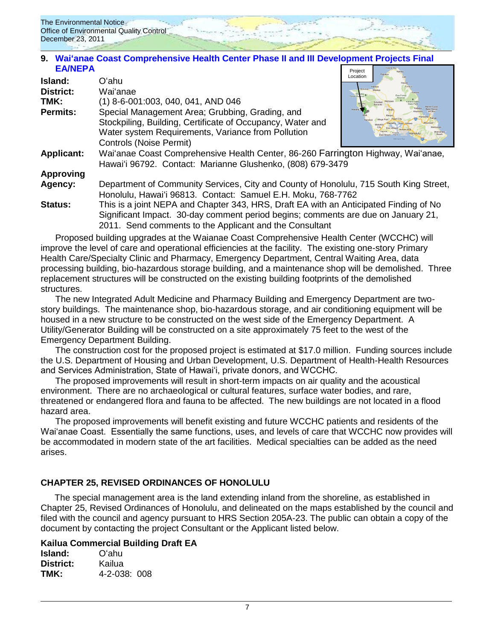

#### Project **9. [Waiʻanae Coast Comprehensive Health Center Phase II and III Development Projects Final](http://oeqc.doh.hawaii.gov/Shared%20Documents/EA_and_EIS_Online_Library/Oahu/2010s/2011-12-23-FEA-NEPA-Waianae%20Coast%20Comprehensive%20Health%20Center.pdf)  [EA/NEPA](http://oeqc.doh.hawaii.gov/Shared%20Documents/EA_and_EIS_Online_Library/Oahu/2010s/2011-12-23-FEA-NEPA-Waianae%20Coast%20Comprehensive%20Health%20Center.pdf)**

| Island:<br><b>District:</b><br>TMK:<br>Permits: | Oʻahu<br>Wai'anae<br>(1) 8-6-001:003, 040, 041, AND 046<br>Special Management Area; Grubbing, Grading, and<br>Stockpiling, Building, Certificate of Occupancy, Water and<br>Water system Requirements, Variance from Pollution<br>Controls (Noise Permit) | Location<br>Mokuleia<br>Forest Re<br>Makaha |
|-------------------------------------------------|-----------------------------------------------------------------------------------------------------------------------------------------------------------------------------------------------------------------------------------------------------------|---------------------------------------------|
| <b>Applicant:</b>                               | Wai'anae Coast Comprehensive Health Center, 86-260 Farrington Highway, Wai'anae,<br>Hawai'i 96792. Contact: Marianne Glushenko, (808) 679-3479                                                                                                            |                                             |
| <b>Approving</b>                                |                                                                                                                                                                                                                                                           |                                             |
| Agency:                                         | Department of Community Services, City and County of Honolulu, 715 South King Street,<br>Honolulu, Hawai'i 96813. Contact: Samuel E.H. Moku, 768-7762                                                                                                     |                                             |
| <b>Status:</b>                                  | This is a joint NEPA and Chapter 343, HRS, Draft EA with an Anticipated Finding of No<br>Significant Impact. 30-day comment period begins; comments are due on January 21,<br>2011. Send comments to the Applicant and the Consultant                     |                                             |

Proposed building upgrades at the Waianae Coast Comprehensive Health Center (WCCHC) will improve the level of care and operational efficiencies at the facility. The existing one-story Primary Health Care/Specialty Clinic and Pharmacy, Emergency Department, Central Waiting Area, data processing building, bio-hazardous storage building, and a maintenance shop will be demolished. Three replacement structures will be constructed on the existing building footprints of the demolished structures.

The new Integrated Adult Medicine and Pharmacy Building and Emergency Department are twostory buildings. The maintenance shop, bio-hazardous storage, and air conditioning equipment will be housed in a new structure to be constructed on the west side of the Emergency Department. A Utility/Generator Building will be constructed on a site approximately 75 feet to the west of the Emergency Department Building.

The construction cost for the proposed project is estimated at \$17.0 million. Funding sources include the U.S. Department of Housing and Urban Development, U.S. Department of Health-Health Resources and Services Administration, State of Hawai'i, private donors, and WCCHC.

The proposed improvements will result in short-term impacts on air quality and the acoustical environment. There are no archaeological or cultural features, surface water bodies, and rare, threatened or endangered flora and fauna to be affected. The new buildings are not located in a flood hazard area.

The proposed improvements will benefit existing and future WCCHC patients and residents of the Wai'anae Coast. Essentially the same functions, uses, and levels of care that WCCHC now provides will be accommodated in modern state of the art facilities. Medical specialties can be added as the need arises.

## **CHAPTER 25, REVISED ORDINANCES OF HONOLULU**

The special management area is the land extending inland from the shoreline, as established in Chapter 25, Revised Ordinances of Honolulu, and delineated on the maps established by the council and filed with the council and agency pursuant to HRS Section 205A-23. The public can obtain a copy of the document by contacting the project Consultant or the Applicant listed below.

#### **Kailua Commercial Building Draft EA**

| Island:   | Oʻahu               |  |
|-----------|---------------------|--|
| District: | Kailua              |  |
| TMK:      | $4 - 2 - 038$ ; 008 |  |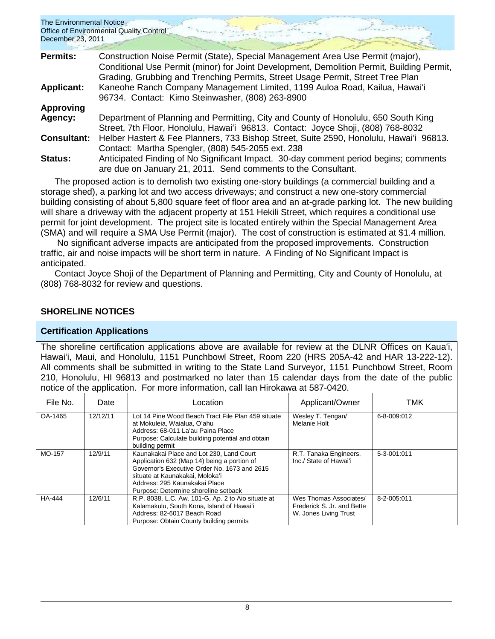| The Environmental Notice<br>December 23, 2011 | <b>Office of Environmental Quality Control</b>                                                                                                                                                                                                                |
|-----------------------------------------------|---------------------------------------------------------------------------------------------------------------------------------------------------------------------------------------------------------------------------------------------------------------|
| <b>Permits:</b>                               | Construction Noise Permit (State), Special Management Area Use Permit (major),<br>Conditional Use Permit (minor) for Joint Development, Demolition Permit, Building Permit,<br>Grading, Grubbing and Trenching Permits, Street Usage Permit, Street Tree Plan |
| <b>Applicant:</b>                             | Kaneohe Ranch Company Management Limited, 1199 Auloa Road, Kailua, Hawai'i<br>96734. Contact: Kimo Steinwasher, (808) 263-8900                                                                                                                                |
| <b>Approving</b>                              |                                                                                                                                                                                                                                                               |
| Agency:                                       | Department of Planning and Permitting, City and County of Honolulu, 650 South King<br>Street, 7th Floor, Honolulu, Hawai'i 96813. Contact: Joyce Shoji, (808) 768-8032                                                                                        |
| <b>Consultant:</b>                            | Helber Hastert & Fee Planners, 733 Bishop Street, Suite 2590, Honolulu, Hawai'i 96813.<br>Contact: Martha Spengler, (808) 545-2055 ext. 238                                                                                                                   |
| Status:                                       | Anticipated Finding of No Significant Impact. 30-day comment period begins; comments<br>are due on January 21, 2011. Send comments to the Consultant.                                                                                                         |

The proposed action is to demolish two existing one-story buildings (a commercial building and a storage shed), a parking lot and two access driveways; and construct a new one-story commercial building consisting of about 5,800 square feet of floor area and an at-grade parking lot. The new building will share a driveway with the adjacent property at 151 Hekili Street, which requires a conditional use permit for joint development. The project site is located entirely within the Special Management Area (SMA) and will require a SMA Use Permit (major). The cost of construction is estimated at \$1.4 million.

No significant adverse impacts are anticipated from the proposed improvements. Construction traffic, air and noise impacts will be short term in nature. A Finding of No Significant Impact is anticipated.

Contact Joyce Shoji of the Department of Planning and Permitting, City and County of Honolulu, at (808) 768-8032 for review and questions.

## **SHORELINE NOTICES**

## **Certification Applications**

The shoreline certification applications above are available for review at the DLNR Offices on Kauaʻi, Hawaiʻi, Maui, and Honolulu, 1151 Punchbowl Street, Room 220 (HRS 205A-42 and HAR 13-222-12). All comments shall be submitted in writing to the State Land Surveyor, 1151 Punchbowl Street, Room 210, Honolulu, HI 96813 and postmarked no later than 15 calendar days from the date of the public notice of the application. For more information, call Ian Hirokawa at 587-0420.

| File No.      | Date     | Location                                                                                                                                                                                                                                            | Applicant/Owner                                                               | TMK         |
|---------------|----------|-----------------------------------------------------------------------------------------------------------------------------------------------------------------------------------------------------------------------------------------------------|-------------------------------------------------------------------------------|-------------|
| OA-1465       | 12/12/11 | Lot 14 Pine Wood Beach Tract File Plan 459 situate<br>at Mokuleia. Waialua. O'ahu<br>Address: 68-011 La'au Paina Place<br>Purpose: Calculate building potential and obtain<br>building permit                                                       | Wesley T. Tengan/<br>Melanie Holt                                             | 6-8-009:012 |
| MO-157        | 12/9/11  | Kaunakakai Place and Lot 230, Land Court<br>Application 632 (Map 14) being a portion of<br>Governor's Executive Order No. 1673 and 2615<br>situate at Kaunakakai. Moloka'i<br>Address: 295 Kaunakakai Place<br>Purpose: Determine shoreline setback | R.T. Tanaka Engineers,<br>Inc./ State of Hawai'i                              | 5-3-001:011 |
| <b>HA-444</b> | 12/6/11  | R.P. 8038, L.C. Aw. 101-G, Ap. 2 to Aio situate at<br>Kalamakulu, South Kona, Island of Hawai'i<br>Address: 82-6017 Beach Road<br>Purpose: Obtain County building permits                                                                           | Wes Thomas Associates/<br>Frederick S. Jr. and Bette<br>W. Jones Living Trust | 8-2-005:011 |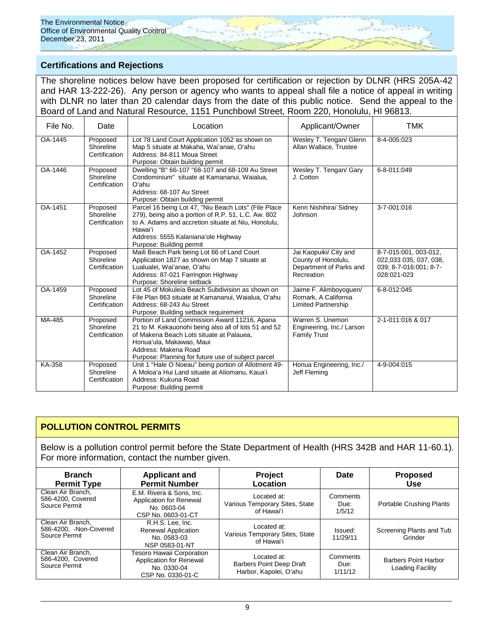## **Certifications and Rejections**

The shoreline notices below have been proposed for certification or rejection by DLNR (HRS 205A-42 and HAR 13-222-26). Any person or agency who wants to appeal shall file a notice of appeal in writing with DLNR no later than 20 calendar days from the date of this public notice. Send the appeal to the Board of Land and Natural Resource, 1151 Punchbowl Street, Room 220, Honolulu, HI 96813.

| File No. | Date                                   | Location                                                                                                                                                                                                                                                    | Applicant/Owner                                                                        | <b>TMK</b>                                                                               |
|----------|----------------------------------------|-------------------------------------------------------------------------------------------------------------------------------------------------------------------------------------------------------------------------------------------------------------|----------------------------------------------------------------------------------------|------------------------------------------------------------------------------------------|
| OA-1445  | Proposed<br>Shoreline<br>Certification | Lot 78 Land Court Application 1052 as shown on<br>Wesley T. Tengan/ Glenn<br>Map 5 situate at Makaha, Wai'anae, O'ahu<br>Allan Wallace, Trustee<br>Address: 84-811 Moua Street<br>Purpose: Obtain building permit                                           |                                                                                        | 8-4-005:023                                                                              |
| OA-1446  | Proposed<br>Shoreline<br>Certification | Dwelling "B" 66-107 "68-107 and 68-109 Au Street<br>Condominium" situate at Kamananui, Waialua.<br>O'ahu<br>Address: 68-107 Au Street<br>Purpose: Obtain building permit                                                                                    | Wesley T. Tengan/ Gary<br>J. Cotton                                                    | 6-8-011:049                                                                              |
| OA-1451  | Proposed<br>Shoreline<br>Certification | Parcel 16 being Lot 47, "Niu Beach Lots" (File Place<br>279), being also a portion of R.P. 51, L.C. Aw. 802<br>to A. Adams and accretion situate at Niu, Honolulu,<br>Hawai'i<br>Address: 5555 Kalaniana'ole Highway<br>Purpose: Building permit            | Kenn Nishihira/ Sidney<br>Johnson                                                      | 3-7-001:016                                                                              |
| OA-1452  | Proposed<br>Shoreline<br>Certification | Maili Beach Park being Lot 66 of Land Court<br>Application 1827 as shown on Map 7 situate at<br>Lualualei, Wai'anae, O'ahu<br>Address: 87-021 Farrington Highway<br>Purpose: Shoreline setback                                                              | Jai Kaopuiki/ City and<br>County of Honolulu,<br>Department of Parks and<br>Recreation | 8-7-015:001, 003-012,<br>022,033 035, 037, 038,<br>039; 8-7-016:001; 8-7-<br>028:021-023 |
| OA-1459  | Proposed<br>Shoreline<br>Certification | Lot 45 of Mokuleia Beach Subdivision as shown on<br>File Plan 863 situate at Kamananui, Waialua, O'ahu<br>Address: 68-243 Au Street<br>Purpose: Building setback requirement                                                                                | Jaime F. Alimboyoguen/<br>Romark, A California<br><b>Limited Partnership</b>           | 6-8-012:045                                                                              |
| MA-485   | Proposed<br>Shoreline<br>Certification | Portion of Land Commission Award 11216, Apana<br>21 to M. Kekauonohi being also all of lots 51 and 52<br>of Makena Beach Lots situate at Palauea,<br>Honua'ula, Makawao, Maui<br>Address: Makena Road<br>Purpose: Planning for future use of subject parcel | Warren S. Unemori<br>Engineering, Inc./ Larson<br><b>Family Trust</b>                  | 2-1-011:016 & 017                                                                        |
| KA-358   | Proposed<br>Shoreline<br>Certification | Unit 1 "Hale O Noeau" being portion of Allotment 49-<br>A Moloa'a Hui Land situate at Aliomanu, Kaua'i<br>Address: Kukuna Road<br>Purpose: Building permit                                                                                                  | Honua Engineering, Inc./<br>Jeff Fleming                                               | 4-9-004:015                                                                              |

## **POLLUTION CONTROL PERMITS**

Below is a pollution control permit before the State Department of Health (HRS 342B and HAR 11-60.1). For more information, contact the number given.

| <b>Branch</b><br><b>Permit Type</b>                          | <b>Applicant and</b><br><b>Permit Number</b>                                             | <b>Project</b><br>Location                                               | Date                        | <b>Proposed</b><br><b>Use</b>                   |
|--------------------------------------------------------------|------------------------------------------------------------------------------------------|--------------------------------------------------------------------------|-----------------------------|-------------------------------------------------|
| Clean Air Branch,<br>586-4200, Covered<br>Source Permit      | E.M. Rivera & Sons, Inc.<br>Application for Renewal<br>No. 0603-04<br>CSP No. 0603-01-CT | Located at:<br>Various Temporary Sites, State<br>of Hawaiʻi              | Comments<br>Due:<br>1/5/12  | <b>Portable Crushing Plants</b>                 |
| Clean Air Branch,<br>586-4200, -Non-Covered<br>Source Permit | R.H.S. Lee, Inc.<br><b>Renewal Application</b><br>No. 0583-03<br>NSP 0583-01-NT          | Located at:<br>Various Temporary Sites, State<br>of Hawai'i              | Issued:<br>11/29/11         | Screening Plants and Tub<br>Grinder             |
| Clean Air Branch,<br>586-4200, Covered<br>Source Permit      | Tesoro Hawaii Corporation<br>Application for Renewal<br>No. 0330-04<br>CSP No. 0330-01-C | Located at:<br><b>Barbers Point Deep Draft</b><br>Harbor, Kapolei, O'ahu | Comments<br>Due:<br>1/11/12 | <b>Barbers Point Harbor</b><br>Loading Facility |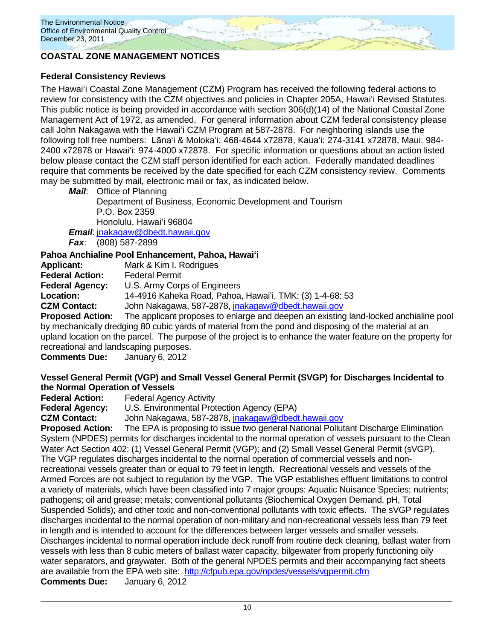

## **COASTAL ZONE MANAGEMENT NOTICES**

## **Federal Consistency Reviews**

The Hawaiʻi Coastal Zone Management (CZM) Program has received the following federal actions to review for consistency with the CZM objectives and policies in Chapter 205A, Hawaiʻi Revised Statutes. This public notice is being provided in accordance with section 306(d)(14) of the National Coastal Zone Management Act of 1972, as amended. For general information about CZM federal consistency please call John Nakagawa with the Hawaiʻi CZM Program at 587-2878. For neighboring islands use the following toll free numbers: Lānaʻi & Molokaʻi: 468-4644 x72878, Kauaʻi: 274-3141 x72878, Maui: 984- 2400 x72878 or Hawaiʻi: 974-4000 x72878. For specific information or questions about an action listed below please contact the CZM staff person identified for each action. Federally mandated deadlines require that comments be received by the date specified for each CZM consistency review. Comments may be submitted by mail, electronic mail or fax, as indicated below.

*Mail*: Office of Planning Department of Business, Economic Development and Tourism P.O. Box 2359 Honolulu, Hawaiʻi 96804

*Email*: [jnakagaw@dbedt.hawaii.gov](mailto:jnakagaw@dbedt.hawaii.gov)

*Fax*: (808) 587-2899

## **Pahoa Anchialine Pool Enhancement, Pahoa, Hawaiʻi**

**Applicant:** Mark & Kim I. Rodrigues **Federal Action:** Federal Permit **Federal Agency:** U.S. Army Corps of Engineers **Location:** 14-4916 Kaheka Road, Pahoa, Hawaiʻi, TMK: (3) 1-4-68: 53 **CZM Contact:** John Nakagawa, 587-2878, [jnakagaw@dbedt.hawaii.gov](mailto:jnakagaw@dbedt.hawaii.gov) **Proposed Action:** The applicant proposes to enlarge and deepen an existing land-locked anchialine pool

by mechanically dredging 80 cubic yards of material from the pond and disposing of the material at an upland location on the parcel. The purpose of the project is to enhance the water feature on the property for recreational and landscaping purposes.

**Comments Due:** January 6, 2012

## **Vessel General Permit (VGP) and Small Vessel General Permit (SVGP) for Discharges Incidental to the Normal Operation of Vessels**

**Federal Agency Activity** 

**Federal Agency:** U.S. Environmental Protection Agency (EPA)

**CZM Contact:** John Nakagawa, 587-2878, [jnakagaw@dbedt.hawaii.gov](mailto:jnakagaw@dbedt.hawaii.gov)

**Proposed Action:** The EPA is proposing to issue two general National Pollutant Discharge Elimination System (NPDES) permits for discharges incidental to the normal operation of vessels pursuant to the Clean Water Act Section 402: (1) Vessel General Permit (VGP); and (2) Small Vessel General Permit (sVGP). The VGP regulates discharges incidental to the normal operation of commercial vessels and nonrecreational vessels greater than or equal to 79 feet in length. Recreational vessels and vessels of the Armed Forces are not subject to regulation by the VGP. The VGP establishes effluent limitations to control a variety of materials, which have been classified into 7 major groups: Aquatic Nuisance Species; nutrients; pathogens; oil and grease; metals; conventional pollutants (Biochemical Oxygen Demand, pH, Total Suspended Solids); and other toxic and non-conventional pollutants with toxic effects. The sVGP regulates discharges incidental to the normal operation of non-military and non-recreational vessels less than 79 feet in length and is intended to account for the differences between larger vessels and smaller vessels. Discharges incidental to normal operation include deck runoff from routine deck cleaning, ballast water from vessels with less than 8 cubic meters of ballast water capacity, bilgewater from properly functioning oily water separators, and graywater. Both of the general NPDES permits and their accompanying fact sheets are available from the EPA web site: <http://cfpub.epa.gov/npdes/vessels/vgpermit.cfm> **Comments Due:** January 6, 2012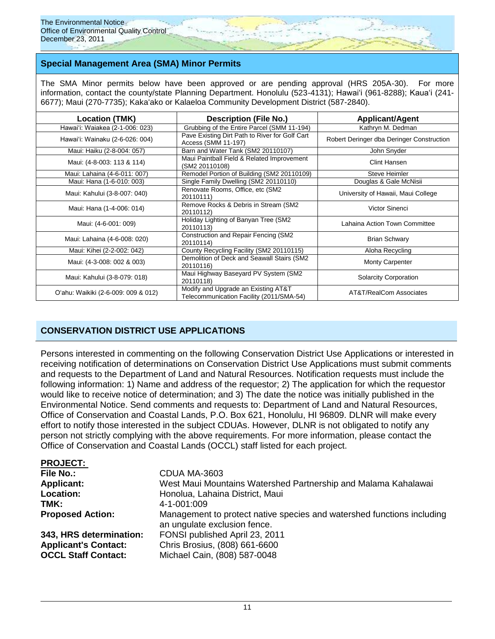## **Special Management Area (SMA) Minor Permits**

The SMA Minor permits below have been approved or are pending approval (HRS 205A-30). For more information, contact the county/state Planning Department. Honolulu (523-4131); Hawaiʻi (961-8288); Kauaʻi (241-6677); Maui (270-7735); Kakaʻako or Kalaeloa Community Development District (587-2840).

| Location (TMK)                      | <b>Description (File No.)</b>                                                   | <b>Applicant/Agent</b>                    |
|-------------------------------------|---------------------------------------------------------------------------------|-------------------------------------------|
| Hawai'i: Waiakea (2-1-006: 023)     | Grubbing of the Entire Parcel (SMM 11-194)                                      | Kathryn M. Dedman                         |
| Hawai'i: Wainaku (2-6-026: 004)     | Pave Existing Dirt Path to River for Golf Cart<br>Access (SMM 11-197)           | Robert Deringer dba Deringer Construction |
| Maui: Haiku (2-8-004: 057)          | Barn and Water Tank (SM2 20110107)                                              | John Snyder                               |
| Maui: (4-8-003: 113 & 114)          | Maui Paintball Field & Related Improvement<br>(SM2 20110108)                    | Clint Hansen                              |
| Maui: Lahaina (4-6-011: 007)        | Remodel Portion of Building (SM2 20110109)                                      | <b>Steve Heimler</b>                      |
| Maui: Hana (1-6-010: 003)           | Single Family Dwelling (SM2 20110110)                                           | Douglas & Gale McNisii                    |
| Maui: Kahului (3-8-007: 040)        | Renovate Rooms, Office, etc (SM2)<br>20110111)                                  | University of Hawaii, Maui College        |
| Maui: Hana (1-4-006: 014)           | Remove Rocks & Debris in Stream (SM2)<br>20110112)                              | Victor Sinenci                            |
| Maui: (4-6-001: 009)                | Holiday Lighting of Banyan Tree (SM2<br>20110113)                               | Lahaina Action Town Committee             |
| Maui: Lahaina (4-6-008: 020)        | Construction and Repair Fencing (SM2)<br>20110114)                              | <b>Brian Schwary</b>                      |
| Maui: Kihei (2-2-002: 042)          | County Recycling Facility (SM2 20110115)                                        | Aloha Recycling                           |
| Maui: (4-3-008: 002 & 003)          | Demolition of Deck and Seawall Stairs (SM2)<br>20110116)                        | <b>Monty Carpenter</b>                    |
| Maui: Kahului (3-8-079: 018)        | Maui Highway Baseyard PV System (SM2<br>20110118)                               | <b>Solarcity Corporation</b>              |
| O'ahu: Waikiki (2-6-009: 009 & 012) | Modify and Upgrade an Existing AT&T<br>Telecommunication Facility (2011/SMA-54) | AT&T/RealCom Associates                   |

## **CONSERVATION DISTRICT USE APPLICATIONS**

Persons interested in commenting on the following Conservation District Use Applications or interested in receiving notification of determinations on Conservation District Use Applications must submit comments and requests to the Department of Land and Natural Resources. Notification requests must include the following information: 1) Name and address of the requestor; 2) The application for which the requestor would like to receive notice of determination; and 3) The date the notice was initially published in the Environmental Notice. Send comments and requests to: Department of Land and Natural Resources, Office of Conservation and Coastal Lands, P.O. Box 621, Honolulu, HI 96809. DLNR will make every effort to notify those interested in the subject CDUAs. However, DLNR is not obligated to notify any person not strictly complying with the above requirements. For more information, please contact the Office of Conservation and Coastal Lands (OCCL) staff listed for each project.

| CDUA MA-3603                                                                                           |
|--------------------------------------------------------------------------------------------------------|
| West Maui Mountains Watershed Partnership and Malama Kahalawai                                         |
| Honolua, Lahaina District, Maui                                                                        |
| 4-1-001:009                                                                                            |
| Management to protect native species and watershed functions including<br>an ungulate exclusion fence. |
| FONSI published April 23, 2011                                                                         |
| Chris Brosius, (808) 661-6600                                                                          |
| Michael Cain, (808) 587-0048                                                                           |
|                                                                                                        |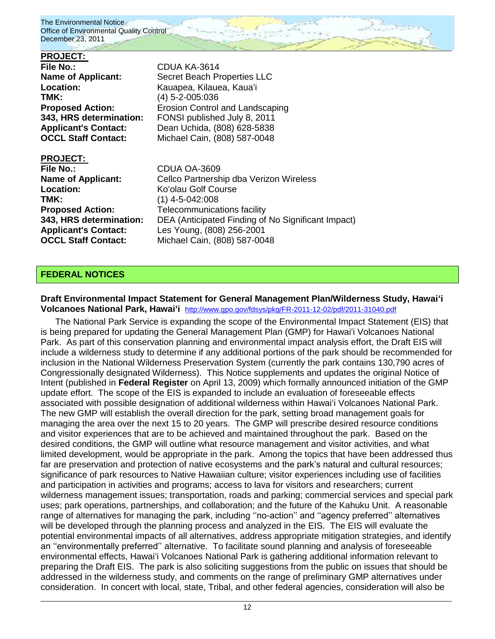## **PROJECT:**  File No.: CDUA KA-3614 **Name of Applicant:** Secret Beach Properties LLC **Location:** Kauapea, Kilauea, Kauaʻi **TMK:** (4) 5-2-005:036 **Proposed Action: Example 20 Except** Erosion Control and Landscaping **343, HRS determination:** FONSI published July 8, 2011 **Applicant's Contact:** Dean Uchida, (808) 628-5838 **OCCL Staff Contact:** Michael Cain, (808) 587-0048 **PROJECT:**

**File No.:** CDUA OA-3609 **Location:** Koʻolau Golf Course **TMK:** (1) 4-5-042:008 **Applicant's Contact:** Les Young, (808) 256-2001

**Name of Applicant:** Cellco Partnership dba Verizon Wireless **Proposed Action:** Telecommunications facility **343, HRS determination:** DEA (Anticipated Finding of No Significant Impact) **OCCL Staff Contact:** Michael Cain, (808) 587-0048

## **FEDERAL NOTICES**

## **Draft Environmental Impact Statement for General Management Plan/Wilderness Study, Hawai'i Volcanoes National Park, Hawai'i** <http://www.gpo.gov/fdsys/pkg/FR-2011-12-02/pdf/2011-31040.pdf>

The National Park Service is expanding the scope of the Environmental Impact Statement (EIS) that is being prepared for updating the General Management Plan (GMP) for Hawai'i Volcanoes National Park. As part of this conservation planning and environmental impact analysis effort, the Draft EIS will include a wilderness study to determine if any additional portions of the park should be recommended for inclusion in the National Wilderness Preservation System (currently the park contains 130,790 acres of Congressionally designated Wilderness). This Notice supplements and updates the original Notice of Intent (published in **Federal Register** on April 13, 2009) which formally announced initiation of the GMP update effort. The scope of the EIS is expanded to include an evaluation of foreseeable effects associated with possible designation of additional wilderness within Hawai'i Volcanoes National Park. The new GMP will establish the overall direction for the park, setting broad management goals for managing the area over the next 15 to 20 years. The GMP will prescribe desired resource conditions and visitor experiences that are to be achieved and maintained throughout the park. Based on the desired conditions, the GMP will outline what resource management and visitor activities, and what limited development, would be appropriate in the park. Among the topics that have been addressed thus far are preservation and protection of native ecosystems and the park's natural and cultural resources; significance of park resources to Native Hawaiian culture; visitor experiences including use of facilities and participation in activities and programs; access to lava for visitors and researchers; current wilderness management issues; transportation, roads and parking; commercial services and special park uses; park operations, partnerships, and collaboration; and the future of the Kahuku Unit. A reasonable range of alternatives for managing the park, including ''no-action'' and ''agency preferred'' alternatives will be developed through the planning process and analyzed in the EIS. The EIS will evaluate the potential environmental impacts of all alternatives, address appropriate mitigation strategies, and identify an ''environmentally preferred'' alternative. To facilitate sound planning and analysis of foreseeable environmental effects, Hawai'i Volcanoes National Park is gathering additional information relevant to preparing the Draft EIS. The park is also soliciting suggestions from the public on issues that should be addressed in the wilderness study, and comments on the range of preliminary GMP alternatives under consideration. In concert with local, state, Tribal, and other federal agencies, consideration will also be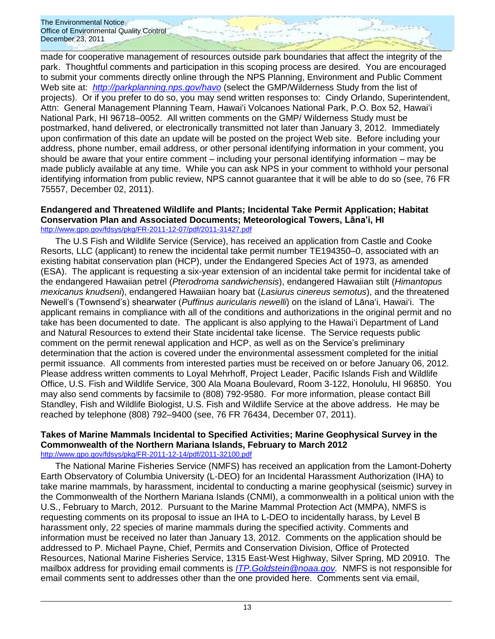made for cooperative management of resources outside park boundaries that affect the integrity of the park. Thoughtful comments and participation in this scoping process are desired. You are encouraged to submit your comments directly online through the NPS Planning, Environment and Public Comment Web site at: *<http://parkplanning.nps.gov/havo>* (select the GMP/Wilderness Study from the list of projects). Or if you prefer to do so, you may send written responses to: Cindy Orlando, Superintendent, Attn: General Management Planning Team, Hawai'i Volcanoes National Park, P.O. Box 52, Hawai'i National Park, HI 96718–0052. All written comments on the GMP/ Wilderness Study must be postmarked, hand delivered, or electronically transmitted not later than January 3, 2012. Immediately upon confirmation of this date an update will be posted on the project Web site. Before including your address, phone number, email address, or other personal identifying information in your comment, you should be aware that your entire comment – including your personal identifying information – may be made publicly available at any time. While you can ask NPS in your comment to withhold your personal identifying information from public review, NPS cannot guarantee that it will be able to do so (see, 76 FR 75557, December 02, 2011).

#### **Endangered and Threatened Wildlife and Plants; Incidental Take Permit Application; Habitat Conservation Plan and Associated Documents; Meteorological Towers, Lāna'i, HI** <http://www.gpo.gov/fdsys/pkg/FR-2011-12-07/pdf/2011-31427.pdf>

The U.S Fish and Wildlife Service (Service), has received an application from Castle and Cooke Resorts, LLC (applicant) to renew the incidental take permit number TE194350–0, associated with an existing habitat conservation plan (HCP), under the Endangered Species Act of 1973, as amended (ESA). The applicant is requesting a six-year extension of an incidental take permit for incidental take of the endangered Hawaiian petrel (*Pterodroma sandwichensis*), endangered Hawaiian stilt (*Himantopus mexicanus knudseni*), endangered Hawaiian hoary bat (*Lasiurus cinereus semotus*), and the threatened Newell's (Townsend's) shearwater (*Puffinus auricularis newelli*) on the island of Lānaʻi, Hawai'i. The applicant remains in compliance with all of the conditions and authorizations in the original permit and no take has been documented to date. The applicant is also applying to the Hawai'i Department of Land and Natural Resources to extend their State incidental take license. The Service requests public comment on the permit renewal application and HCP, as well as on the Service's preliminary determination that the action is covered under the environmental assessment completed for the initial permit issuance. All comments from interested parties must be received on or before January 06, 2012. Please address written comments to Loyal Mehrhoff, Project Leader, Pacific Islands Fish and Wildlife Office, U.S. Fish and Wildlife Service, 300 Ala Moana Boulevard, Room 3-122, Honolulu, HI 96850. You may also send comments by facsimile to (808) 792-9580. For more information, please contact Bill Standley, Fish and Wildlife Biologist, U.S. Fish and Wildlife Service at the above address. He may be reached by telephone (808) 792–9400 (see, 76 FR 76434, December 07, 2011).

#### **Takes of Marine Mammals Incidental to Specified Activities; Marine Geophysical Survey in the Commonwealth of the Northern Mariana Islands, February to March 2012** <http://www.gpo.gov/fdsys/pkg/FR-2011-12-14/pdf/2011-32100.pdf>

The National Marine Fisheries Service (NMFS) has received an application from the Lamont-Doherty Earth Observatory of Columbia University (L-DEO) for an Incidental Harassment Authorization (IHA) to take marine mammals, by harassment, incidental to conducting a marine geophysical (seismic) survey in the Commonwealth of the Northern Mariana Islands (CNMI), a commonwealth in a political union with the U.S., February to March, 2012. Pursuant to the Marine Mammal Protection Act (MMPA), NMFS is requesting comments on its proposal to issue an IHA to L-DEO to incidentally harass, by Level B harassment only, 22 species of marine mammals during the specified activity. Comments and information must be received no later than January 13, 2012. Comments on the application should be addressed to P. Michael Payne, Chief, Permits and Conservation Division, Office of Protected Resources, National Marine Fisheries Service, 1315 East-West Highway, Silver Spring, MD 20910. The mailbox address for providing email comments is *[ITP.Goldstein@noaa.gov.](mailto:ITP.Goldstein@noaa.gov)* NMFS is not responsible for email comments sent to addresses other than the one provided here. Comments sent via email,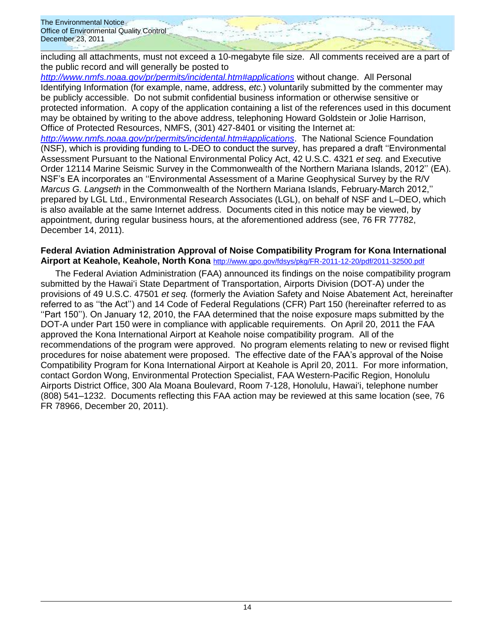including all attachments, must not exceed a 10-megabyte file size. All comments received are a part of the public record and will generally be posted to

*[http://www.nmfs.noaa.gov/pr/permits/incidental.htm#applications](http://www.nmfs.noaa.gov/pr/permits/incidental.htm#applications/)* without change. All Personal Identifying Information (for example, name, address, *etc.*) voluntarily submitted by the commenter may be publicly accessible. Do not submit confidential business information or otherwise sensitive or protected information. A copy of the application containing a list of the references used in this document may be obtained by writing to the above address, telephoning Howard Goldstein or Jolie Harrison, Office of Protected Resources, NMFS, (301) 427-8401 or visiting the Internet at:

*[http://www.nmfs.noaa.gov/pr/permits/incidental.htm#applications](http://www.nmfs.noaa.gov/pr/permits/incidental.htm#applications/)*. The National Science Foundation (NSF), which is providing funding to L-DEO to conduct the survey, has prepared a draft ''Environmental Assessment Pursuant to the National Environmental Policy Act, 42 U.S.C. 4321 *et seq.* and Executive Order 12114 Marine Seismic Survey in the Commonwealth of the Northern Mariana Islands, 2012'' (EA). NSF's EA incorporates an ''Environmental Assessment of a Marine Geophysical Survey by the R/V *Marcus G. Langseth* in the Commonwealth of the Northern Mariana Islands, February-March 2012,'' prepared by LGL Ltd., Environmental Research Associates (LGL), on behalf of NSF and L–DEO, which is also available at the same Internet address. Documents cited in this notice may be viewed, by appointment, during regular business hours, at the aforementioned address (see, 76 FR 77782, December 14, 2011).

## **Federal Aviation Administration Approval of Noise Compatibility Program for Kona International Airport at Keahole, Keahole, North Kona** <http://www.gpo.gov/fdsys/pkg/FR-2011-12-20/pdf/2011-32500.pdf>

The Federal Aviation Administration (FAA) announced its findings on the noise compatibility program submitted by the Hawaiʻi State Department of Transportation, Airports Division (DOT-A) under the provisions of 49 U.S.C. 47501 *et seq.* (formerly the Aviation Safety and Noise Abatement Act, hereinafter referred to as ''the Act'') and 14 Code of Federal Regulations (CFR) Part 150 (hereinafter referred to as ''Part 150''). On January 12, 2010, the FAA determined that the noise exposure maps submitted by the DOT-A under Part 150 were in compliance with applicable requirements. On April 20, 2011 the FAA approved the Kona International Airport at Keahole noise compatibility program. All of the recommendations of the program were approved. No program elements relating to new or revised flight procedures for noise abatement were proposed. The effective date of the FAA's approval of the Noise Compatibility Program for Kona International Airport at Keahole is April 20, 2011. For more information, contact Gordon Wong, Environmental Protection Specialist, FAA Western-Pacific Region, Honolulu Airports District Office, 300 Ala Moana Boulevard, Room 7-128, Honolulu, Hawai'i, telephone number (808) 541–1232. Documents reflecting this FAA action may be reviewed at this same location (see, 76 FR 78966, December 20, 2011).